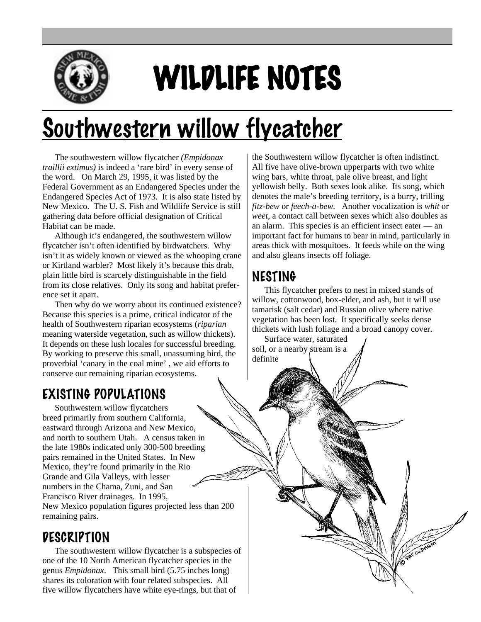

# WILDLIFE NOTES

## Southwestern willow flycatcher

The southwestern willow flycatcher *(Empidonax traillii extimus)* is indeed a 'rare bird' in every sense of the word. On March 29, 1995, it was listed by the Federal Government as an Endangered Species under the Endangered Species Act of 1973. It is also state listed by New Mexico. The U. S. Fish and Wildlife Service is still gathering data before official designation of Critical Habitat can be made.

Although it's endangered, the southwestern willow flycatcher isn't often identified by birdwatchers. Why isn't it as widely known or viewed as the whooping crane or Kirtland warbler? Most likely it's because this drab, plain little bird is scarcely distinguishable in the field from its close relatives. Only its song and habitat preference set it apart.

Then why do we worry about its continued existence? Because this species is a prime, critical indicator of the health of Southwestern riparian ecosystems (*riparian* meaning waterside vegetation, such as willow thickets). It depends on these lush locales for successful breeding. By working to preserve this small, unassuming bird, the proverbial 'canary in the coal mine' , we aid efforts to conserve our remaining riparian ecosystems.

### EXISTING POPULATIONS

Southwestern willow flycatchers breed primarily from southern California, eastward through Arizona and New Mexico, and north to southern Utah. A census taken in the late 1980s indicated only 300-500 breeding pairs remained in the United States. In New Mexico, they're found primarily in the Rio Grande and Gila Valleys, with lesser numbers in the Chama, Zuni, and San Francisco River drainages. In 1995, New Mexico population figures projected less than 200 remaining pairs.

#### **DESCRIPTION**

The southwestern willow flycatcher is a subspecies of one of the 10 North American flycatcher species in the genus *Empidonax*. This small bird (5.75 inches long) shares its coloration with four related subspecies. All five willow flycatchers have white eye-rings, but that of

the Southwestern willow flycatcher is often indistinct. All five have olive-brown upperparts with two white wing bars, white throat, pale olive breast, and light yellowish belly. Both sexes look alike. Its song, which denotes the male's breeding territory, is a burry, trilling *fitz-bew* or *feech-a-bew.* Another vocalization is *whit* or *weet*, a contact call between sexes which also doubles as an alarm. This species is an efficient insect eater — an important fact for humans to bear in mind, particularly in areas thick with mosquitoes. It feeds while on the wing and also gleans insects off foliage.

### NESTING

This flycatcher prefers to nest in mixed stands of willow, cottonwood, box-elder, and ash, but it will use tamarisk (salt cedar) and Russian olive where native vegetation has been lost. It specifically seeks dense thickets with lush foliage and a broad canopy cover.

**PAK OUDINAL** 

Surface water, saturated soil, or a nearby stream is a definite